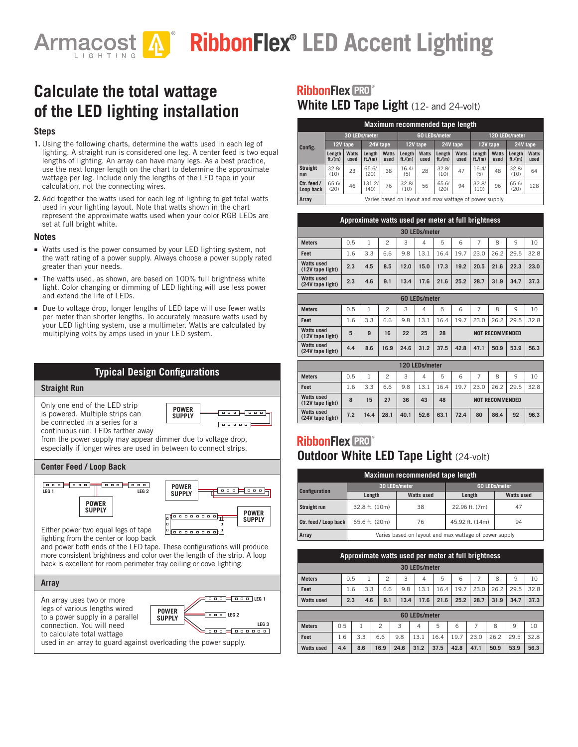# **RibbonFlex® LED Accent Lighting Armacost**

# **Calculate the total wattage of the LED lighting installation**

#### **Steps**

- **1.** Using the following charts, determine the watts used in each leg of lighting. A straight run is considered one leg. A center feed is two equal lengths of lighting. An array can have many legs. As a best practice, use the next longer length on the chart to determine the approximate wattage per leg. Include only the lengths of the LED tape in your calculation, not the connecting wires.
- **2.** Add together the watts used for each leg of lighting to get total watts used in your lighting layout. Note that watts shown in the chart represent the approximate watts used when your color RGB LEDs are set at full bright white.

#### **Notes**

- Watts used is the power consumed by your LED lighting system, not the watt rating of a power supply. Always choose a power supply rated greater than your needs.
- The watts used, as shown, are based on 100% full brightness white light. Color changing or dimming of LED lighting will use less power and extend the life of LEDs.
- Due to voltage drop, longer lengths of LED tape will use fewer watts per meter than shorter lengths. To accurately measure watts used by your LED lighting system, use a multimeter. Watts are calculated by multiplying volts by amps used in your LED system.



#### **RibbonFlex PRO White LED Tape Light** (12- and 24-volt)

|                          | Maximum recommended tape length                  |                                                        |                  |               |                      |                      |                  |                      |                  |               |                  |               |  |
|--------------------------|--------------------------------------------------|--------------------------------------------------------|------------------|---------------|----------------------|----------------------|------------------|----------------------|------------------|---------------|------------------|---------------|--|
|                          | 60 LEDs/meter<br>30 LEDs/meter<br>120 LEDs/meter |                                                        |                  |               |                      |                      |                  |                      |                  |               |                  |               |  |
| Config.                  | 24V tape<br>12V tape                             |                                                        |                  |               | 24V tape<br>12V tape |                      |                  | 12V tape             |                  | 24V tape      |                  |               |  |
|                          | Length<br>ft/(m)                                 | <b>Watts</b><br>used                                   | Length<br>ft/(m) | Watts<br>used | Length<br>ft/(m)     | <b>Watts</b><br>used | Length<br>ft/(m) | <b>Watts</b><br>used | Length<br>ft/(m) | Watts<br>used | Length<br>ft/(m) | Watts<br>used |  |
| <b>Straight</b><br>run   | 32.8/<br>(10)                                    | 23                                                     | 65.6/<br>(20)    | 38            | 16.4/<br>(5)         | 28                   | 32.8/<br>(10)    | 47                   | 16.4/<br>(5)     | 48            | 32.8/<br>(10)    | 64            |  |
| Ctr. feed /<br>Loop back | 65.6/<br>(20)                                    | 46                                                     | 131.2/<br>(40)   | 76            | 32.8/<br>(10)        | 56                   | 65.6/<br>(20)    | 94                   | 32.8/<br>(10)    | 96            | 65.6/<br>(20)    | 128           |  |
| Arrav                    |                                                  | Varies based on layout and max wattage of power supply |                  |               |                      |                      |                  |                      |                  |               |                  |               |  |

|                                       | Approximate watts used per meter at full brightness |     |     |      |      |      |      |      |      |      |      |
|---------------------------------------|-----------------------------------------------------|-----|-----|------|------|------|------|------|------|------|------|
| 30 LEDs/meter                         |                                                     |     |     |      |      |      |      |      |      |      |      |
| <b>Meters</b>                         | 0.5                                                 |     | 2   | 3    | 4    | 5    | 6    |      | 8    | 9    | 10   |
| Feet                                  | 1.6                                                 | 3.3 | 6.6 | 9.8  | 13.1 | 16.4 | 19.7 | 23.0 | 26.2 | 29.5 | 32.8 |
| <b>Watts used</b><br>(12V tape light) | 2.3                                                 | 4.5 | 8.5 | 12.0 | 15.0 | 17.3 | 19.2 | 20.5 | 21.6 | 22.3 | 23.0 |
| <b>Watts used</b><br>(24V tape light) | 2.3                                                 | 4.6 | 9.1 | 13.4 | 17.6 | 21.6 | 25.2 | 28.7 | 31.9 | 34.7 | 37.3 |

| <b>60 LEDs/meter</b>                  |     |     |      |      |      |      |                        |      |      |      |      |
|---------------------------------------|-----|-----|------|------|------|------|------------------------|------|------|------|------|
| <b>Meters</b>                         | 0.5 |     | 2    | 3    | 4    | 5    | 6                      |      | 8    | 9    | 10   |
| Feet                                  | 1.6 | 3.3 | 6.6  | 9.8  | 13.1 | 16.4 | 19.7                   | 23.0 | 26.2 | 29.5 | 32.8 |
| <b>Watts used</b><br>(12V tape light) | 5   | 9   | 16   | 22   | 25   | 28   | <b>NOT RECOMMENDED</b> |      |      |      |      |
| <b>Watts used</b><br>(24V tape light) | 4.4 | 8.6 | 16.9 | 24.6 | 31.2 | 37.5 | 42.8                   | 47.1 | 50.9 | 53.9 | 56.3 |

| 120 LEDs/meter                        |     |      |      |      |      |      |                        |      |      |      |      |
|---------------------------------------|-----|------|------|------|------|------|------------------------|------|------|------|------|
| <b>Meters</b>                         | 0.5 |      | 2    | 3    | 4    | 5    | 6                      |      | 8    | 9    | 10   |
| Feet                                  | 1.6 | 3.3  | 6.6  | 9.8  | 13.1 | 6.4  | 19.7                   | 23.0 | 26.2 | 29.5 | 32.8 |
| <b>Watts used</b><br>(12V tape light) | 8   | 15   | 27   | 36   | 43   | 48   | <b>NOT RECOMMENDED</b> |      |      |      |      |
| <b>Watts used</b><br>(24V tape light) | 7.2 | 14.4 | 28.1 | 40.1 | 52.6 | 63.1 | 72.4                   | 80   | 86.4 | 92   | 96.3 |

### **RibbonFlex PRO Outdoor White LED Tape Light (24-volt)**

| Maximum recommended tape length |                                                        |                   |                 |                   |  |  |  |  |  |  |  |
|---------------------------------|--------------------------------------------------------|-------------------|-----------------|-------------------|--|--|--|--|--|--|--|
| <b>Configuration</b>            | 30 LEDs/meter                                          |                   | 60 LEDs/meter   |                   |  |  |  |  |  |  |  |
|                                 | Length                                                 | <b>Watts used</b> | Length          | <b>Watts used</b> |  |  |  |  |  |  |  |
| Straight run                    | 32.8 ft. (10m)                                         | 38                | 22.96 ft. (7m)  | 47                |  |  |  |  |  |  |  |
| Ctr. feed / Loop back           | 65.6 ft. (20m)                                         | 76                | 45.92 ft. (14m) | 94                |  |  |  |  |  |  |  |
| Array                           | Varies based on layout and max wattage of power supply |                   |                 |                   |  |  |  |  |  |  |  |

|                   | Approximate watts used per meter at full brightness |     |     |                |      |                      |      |      |      |      |      |      |
|-------------------|-----------------------------------------------------|-----|-----|----------------|------|----------------------|------|------|------|------|------|------|
| 30 LEDs/meter     |                                                     |     |     |                |      |                      |      |      |      |      |      |      |
| <b>Meters</b>     |                                                     | 0.5 |     | 2              | 3    | 4                    | 5    | 6    |      | 8    | 9    | 10   |
| Feet              |                                                     | 1.6 | 3.3 | 6.6            | 9.8  | 13.1                 | 16.4 | 19.7 | 23.0 | 26.2 | 29.5 | 32.8 |
| <b>Watts used</b> |                                                     | 2.3 | 4.6 | 9.1            | 13.4 | 17.6                 | 21.6 | 25.2 | 28.7 | 31.9 | 34.7 | 37.3 |
|                   |                                                     |     |     |                |      | <b>60 LEDs/meter</b> |      |      |      |      |      |      |
| <b>Meters</b>     | 0.5                                                 |     |     | $\mathfrak{p}$ | 3    | $\overline{4}$       | 5    | 6    | 7    | 8    | 9    | 10   |
| Feet              | 1.6                                                 |     | 3.3 | 6.6            | 9.8  | 13.1                 | 16.4 | 19.7 | 23.0 | 26.2 | 29.5 | 32.8 |
| <b>Watts used</b> | 4.4                                                 |     | 8.6 | 16.9           | 24.6 | 31.2                 | 37.5 | 42.8 | 47.1 | 50.9 | 53.9 | 56.3 |